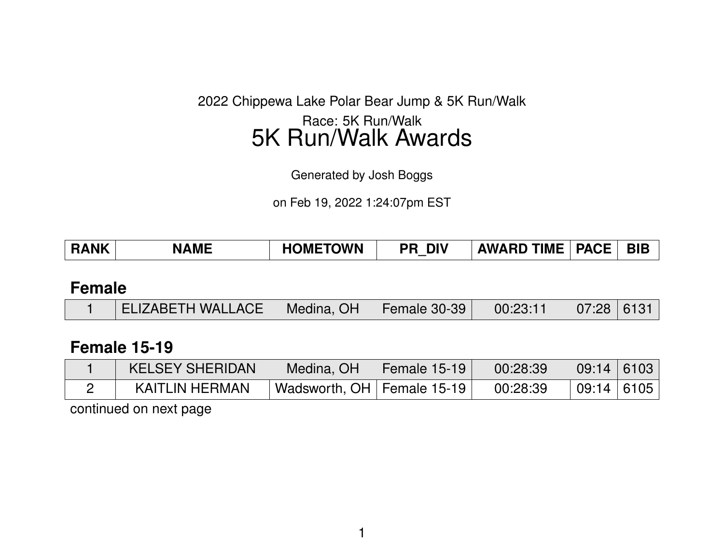2022 Chippewa Lake Polar Bear Jump & 5K Run/Walk

## Race: 5K Run/Walk 5K Run/Walk Awards

Generated by Josh Boggs

on Feb 19, 2022 1:24:07pm EST

| <b>RANK</b> | <b>NAME</b> | <b>HOMETOWN</b> | <b>PR DIV</b> | <b>AWARD TIME</b> | <b>PACE</b> | <b>BIB</b> |
|-------------|-------------|-----------------|---------------|-------------------|-------------|------------|
|             |             |                 |               |                   |             |            |

#### **Female**

|  | ELIZABETH WALLACE   Medina, OH   Female 30-39   00:23:11   07:28   6131 |  |  |  |  |  |
|--|-------------------------------------------------------------------------|--|--|--|--|--|
|--|-------------------------------------------------------------------------|--|--|--|--|--|

#### **Female 15-19**

| <b>KELSEY SHERIDAN</b> | Medina, OH                           | <b>Female 15-19</b> | 00:28:39 | 09:14   6103 |  |
|------------------------|--------------------------------------|---------------------|----------|--------------|--|
| <b>KAITLIN HERMAN</b>  | $\vert$ Wadsworth, OH   Female 15-19 |                     | 00:28:39 | 09:14 6105   |  |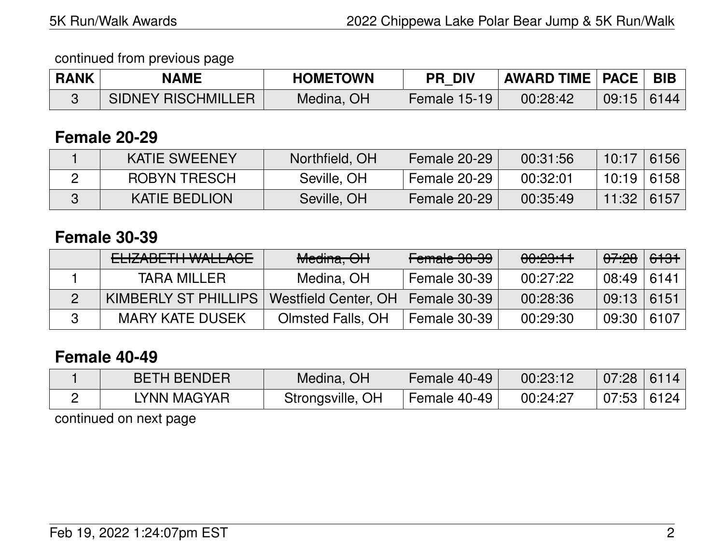## continued from previous page

| <b>RANK</b> | <b>NAME</b>               | <b>HOMETOWN</b> | <b>PR DIV</b> | <b>AWARD TIME   PACE  </b> |       | $\mathsf{BIB}$ |
|-------------|---------------------------|-----------------|---------------|----------------------------|-------|----------------|
|             | <b>SIDNEY RISCHMILLER</b> | Medina, OH      | Female 15-19  | 00:28:42                   | 09:15 | 6144           |

### **Female 20-29**

| <b>KATIE SWEENEY</b> | Northfield, OH | Female 20-29 | 00:31:56 | 10:17        | 6156 |
|----------------------|----------------|--------------|----------|--------------|------|
| <b>ROBYN TRESCH</b>  | Seville, OH    | Female 20-29 | 00:32:01 | 10:19   6158 |      |
| <b>KATIE BEDLION</b> | Seville, OH    | Female 20-29 | 00:35:49 | 11:32        | 6157 |

### **Female 30-39**

| ELIZABETH WALLACE      | Medina, OH               | Female 30-39 | <del>00:23:11</del> | <del>07:28</del> | <del>6131</del> |
|------------------------|--------------------------|--------------|---------------------|------------------|-----------------|
| <b>TARA MILLER</b>     | Medina, OH               | Female 30-39 | 00:27:22            | 08:49            | 6141            |
| KIMBERLY ST PHILLIPS   | Westfield Center, OH     | Female 30-39 | 00:28:36            | 09:13            | 6151            |
| <b>MARY KATE DUSEK</b> | <b>Olmsted Falls, OH</b> | Female 30-39 | 00:29:30            | 09:30            | 6107            |

## **Female 40-49**

| <b>BETH BENDER</b> | Medina, OH       | Female 40-49 | 00:23:12 | 07:28        | 6114 |
|--------------------|------------------|--------------|----------|--------------|------|
| LYNN MAGYAR        | Strongsville, OH | Female 40-49 | 00:24:27 | 07:53   6124 |      |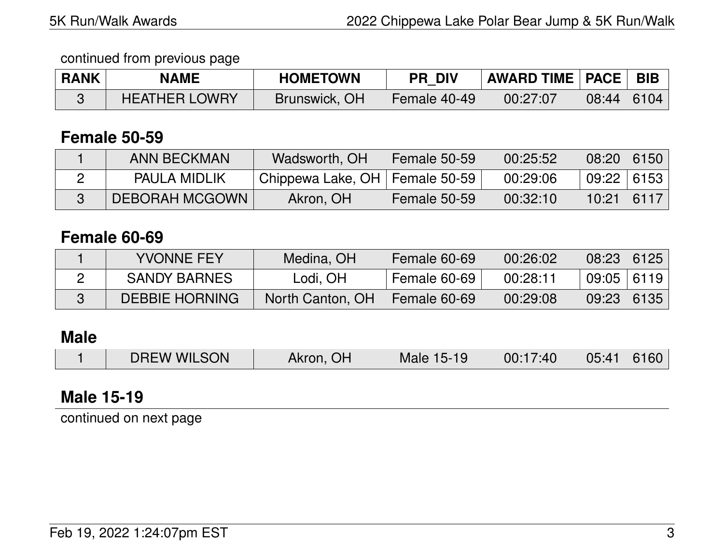#### continued from previous page

| <b>RANK</b> | <b>NAME</b>          | <b>HOMETOWN</b> | <b>PR DIV</b> | <b>AWARD TIME   PACE   BIB</b> |              |  |
|-------------|----------------------|-----------------|---------------|--------------------------------|--------------|--|
|             | <b>HEATHER LOWRY</b> | Brunswick, OH   | Female 40-49  | 00:27:07                       | $08:44$ 6104 |  |

### **Female 50-59**

| <b>ANN BECKMAN</b>    | Wadsworth, OH                    | Female 50-59 | 00:25:52 | 08:20 6150   |  |
|-----------------------|----------------------------------|--------------|----------|--------------|--|
| <b>PAULA MIDLIK</b>   | Chippewa Lake, OH   Female 50-59 |              | 00:29:06 | 09:22   6153 |  |
| <b>DEBORAH MCGOWN</b> | Akron, OH                        | Female 50-59 | 00:32:10 | $10:21$ 6117 |  |

## **Female 60-69**

| <b>YVONNE FEY</b>     | Medina, OH       | Female 60-69 | 00:26:02 | 08:23        | 6125 |
|-----------------------|------------------|--------------|----------|--------------|------|
| <b>SANDY BARNES</b>   | Lodi, OH         | Female 60-69 | 00:28:11 | $09:05$ 6119 |      |
| <b>DEBBIE HORNING</b> | North Canton, OH | Female 60-69 | 00:29:08 | 09:23        | 6135 |

# **Male**

# **Male 15-19**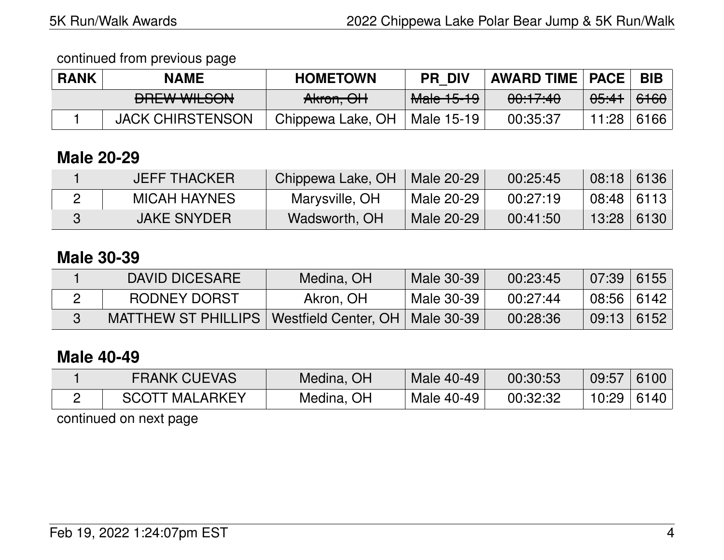#### continued from previous page

| <b>RANK</b> | <b>NAME</b>                      | <b>HOMETOWN</b>   | <b>PR DIV</b>         | <b>AWARD TIME   PACE  </b> |                  | <b>BIB</b> |
|-------------|----------------------------------|-------------------|-----------------------|----------------------------|------------------|------------|
|             | DDEWWW CON<br><b>PHLW WILOUN</b> | Akron, OH         | <del>Male 15-19</del> | <del>00:17:40</del>        | <del>05:41</del> | 6160       |
|             | <b>JACK CHIRSTENSON</b>          | Chippewa Lake, OH | Male 15-19            | 00:35:37                   | 11:28            | 6166       |

## **Male 20-29**

| <b>JEFF THACKER</b> | Chippewa Lake, OH | Male 20-29 | 00:25:45 | 08:18 6136   |      |
|---------------------|-------------------|------------|----------|--------------|------|
| <b>MICAH HAYNES</b> | Marysville, OH    | Male 20-29 | 00:27:19 | $08:48$ 6113 |      |
| <b>JAKE SNYDER</b>  | Wadsworth, OH     | Male 20-29 | 00:41:50 | 13:28        | 6130 |

### **Male 30-39**

| DAVID DICESARE      | Medina, OH                        | Male 30-39 | 00:23:45 | $07:39$ 6155   |  |
|---------------------|-----------------------------------|------------|----------|----------------|--|
| RODNEY DORST        | Akron, OH                         | Male 30-39 | 00:27:44 | $08:56$   6142 |  |
| MATTHEW ST PHILLIPS | Westfield Center, OH   Male 30-39 |            | 00:28:36 | $09:13$ 6152   |  |

### **Male 40-49**

| <b>FRANK CUEVAS</b>   | Medina, OH | Male 40-49 | 00:30:53 | 09:57 | 6100           |
|-----------------------|------------|------------|----------|-------|----------------|
| <b>SCOTT MALARKEY</b> | Medina, OH | Male 40-49 | 00:32:32 |       | $10:29$   6140 |